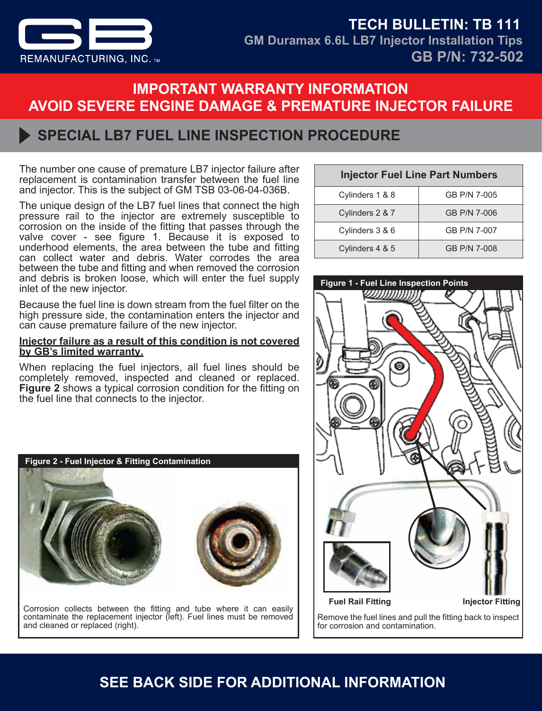

#### **TECH BULLETIN: TB 111 GB P/N: 732-502 GM Duramax 6.6L LB7 Injector Installation Tips**

## **AVOID SEVERE ENGINE DAMAGE & PREMATURE INJECTOR FAILURE IMPORTANT WARRANTY INFORMATION**

## **SPECIAL LB7 FUEL LINE INSPECTION PROCEDURE**

The number one cause of premature LB7 injector failure after replacement is contamination transfer between the fuel line and injector. This is the subject of GM TSB 03-06-04-036B.

The unique design of the LB7 fuel lines that connect the high pressure rail to the injector are extremely susceptible to corrosion on the inside of the fitting that passes through the valve cover - see figure 1. Because it is exposed to underhood elements, the area between the tube and fitting can collect water and debris. Water corrodes the area between the tube and fitting and when removed the corrosion and debris is broken loose, which will enter the fuel supply inlet of the new injector.

Because the fuel line is down stream from the fuel filter on the high pressure side, the contamination enters the injector and can cause premature failure of the new injector.

#### **Injector failure as a result of this condition is not covered by GB's limited warranty.**

When replacing the fuel injectors, all fuel lines should be completely removed, inspected and cleaned or replaced. **Figure 2** shows a typical corrosion condition for the fitting on the fuel line that connects to the injector.



Corrosion collects between the fitting and tube where it can easily contaminate the replacement injector (left). Fuel lines must be removed and cleaned or replaced (right).

| <b>Injector Fuel Line Part Numbers</b> |              |
|----------------------------------------|--------------|
| Cylinders 1 & 8                        | GB P/N 7-005 |
| Cylinders 2 & 7                        | GB P/N 7-006 |
| Cylinders 3 & 6                        | GB P/N 7-007 |
| Cylinders 4 & 5                        | GB P/N 7-008 |



## **SEE BACK SIDE FOR ADDITIONAL INFORMATION**